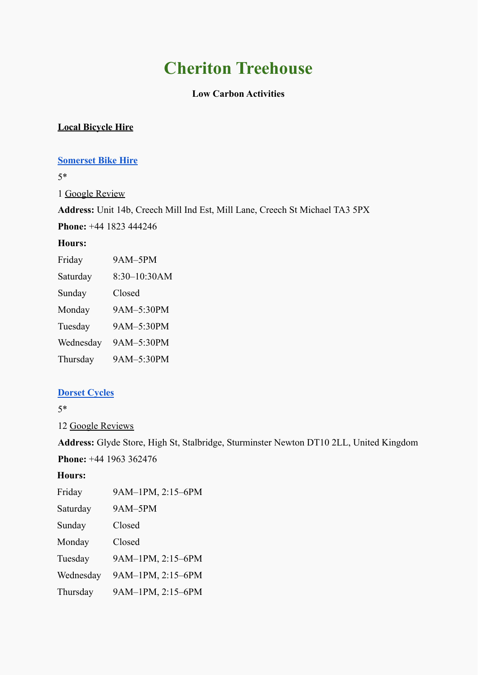# **Cheriton Treehouse**

# **Low Carbon Activities**

# **Local Bicycle Hire**

## **[Somerset Bike Hire](http://www.somersetbikehire.co.uk/)**

5\*

1 [Google Review](https://www.google.com/search?q=bike%20hire%20near%20HOrsington%2C%20Somerset&oq=bike+hire+near+HOrsington%2C+Somerst+&aqs=chrome..69i57j33i10i160l4.57392j0j7&sourceid=chrome&ie=UTF-8&tbs=lrf:!1m4!1u3!2m2!3m1!1e1!1m4!1u2!2m2!2m1!1e1!2m1!1e2!2m1!1e3!3sIAE,lf:1,lf_ui:1&tbm=lcl&sxsrf=ALeKk00wvrGS8zayshYclrSy_M8jU-VKmQ:1628868140777&rflfq=1&num=10&rldimm=10897836987824084876&lqi=CiNiaWtlIGhpcmUgbmVhciBIT3JzaW5ndG9uLCBTb21lcnNldBlI0nCsVua73UiC4rv55YCAgAhaMhAAEAEYACIiYmlrZSBoaXJlIG5lYXIgaG9yc2luZ3RvbiBzb21lcnNldCoGCAMQABABkgENYmljeWNsZV9zdG9yZaoBERABKg0iCWJpa2UgaGlyZSgA&ved=2ahUKEwinp6rXpq7yAhX8_rsIHb4eBTkQvS4wAHoECAwQKg&rlst=f#lrd=0x486df587834ffcdd:0x269cb5d952407863,1,,,&rlfi=hd:;si:2782298614800611427,l,CiNiaWtlIGhpcmUgbmVhciBIT3JzaW5ndG9uLCBTb21lcnNldEjspZyUma6AgAhaNhAAEAEYABgBGAQiImJpa2UgaGlyZSBuZWFyIGhvcnNpbmd0b24gc29tZXJzZXQqBggDEAAQAZIBFmJpY3ljbGVfcmVudGFsX3NlcnZpY2WqAREQASoNIgliaWtlIGhpcmUoAA,y,-ZkBH4WYDqc;mv:[[51.961352299999994,-1.6476148],[50.520097,-3.6897923]];tbs:lrf:!1m4!1u3!2m2!3m1!1e1!1m4!1u2!2m2!2m1!1e1!2m1!1e2!2m1!1e3!3sIAE,lf:1,lf_ui:1)

**Address:** Unit 14b, Creech Mill Ind Est, Mill Lane, Creech St Michael TA3 5PX

**Phone:** [+44 1823 444246](https://www.google.com/search?q=bike%20hire%20near%20HOrsington%2C%20Somerset&oq=bike+hire+near+HOrsington%2C+Somerst+&aqs=chrome..69i57j33i10i160l4.57392j0j7&sourceid=chrome&ie=UTF-8&tbs=lrf:!1m4!1u3!2m2!3m1!1e1!1m4!1u2!2m2!2m1!1e1!2m1!1e2!2m1!1e3!3sIAE,lf:1,lf_ui:1&tbm=lcl&sxsrf=ALeKk00wvrGS8zayshYclrSy_M8jU-VKmQ:1628868140777&rflfq=1&num=10&rldimm=10897836987824084876&lqi=CiNiaWtlIGhpcmUgbmVhciBIT3JzaW5ndG9uLCBTb21lcnNldBlI0nCsVua73UiC4rv55YCAgAhaMhAAEAEYACIiYmlrZSBoaXJlIG5lYXIgaG9yc2luZ3RvbiBzb21lcnNldCoGCAMQABABkgENYmljeWNsZV9zdG9yZaoBERABKg0iCWJpa2UgaGlyZSgA&ved=2ahUKEwinp6rXpq7yAhX8_rsIHb4eBTkQvS4wAHoECAwQKg&rlst=f#)

## **Hours:**

| Friday    | 9AM-5PM      |
|-----------|--------------|
| Saturday  | 8:30-10:30AM |
| Sunday    | Closed       |
| Monday    | 9AM-5:30PM   |
| Tuesday   | 9AM-5:30PM   |
| Wednesday | 9AM-5:30PM   |
| Thursday  | 9AM-5:30PM   |

# **[Dorset Cycles](https://www.stalbridge.info/dorset-cycles-of-stalbridge.html)**

5\*

12 [Google Reviews](https://www.google.com/search?q=bike%20hire%20near%20HOrsington%2C%20Somerset&oq=bike+hire+near+HOrsington%2C+Somerst+&aqs=chrome..69i57j33i10i160l4.57392j0j7&sourceid=chrome&ie=UTF-8&tbs=lrf:!1m4!1u3!2m2!3m1!1e1!1m4!1u2!2m2!2m1!1e1!2m1!1e2!2m1!1e3!3sIAE,lf:1,lf_ui:1&tbm=lcl&sxsrf=ALeKk00wvrGS8zayshYclrSy_M8jU-VKmQ:1628868140777&rflfq=1&num=10&rldimm=10897836987824084876&lqi=CiNiaWtlIGhpcmUgbmVhciBIT3JzaW5ndG9uLCBTb21lcnNldBlI0nCsVua73UiC4rv55YCAgAhaMhAAEAEYACIiYmlrZSBoaXJlIG5lYXIgaG9yc2luZ3RvbiBzb21lcnNldCoGCAMQABABkgENYmljeWNsZV9zdG9yZaoBERABKg0iCWJpa2UgaGlyZSgA&ved=2ahUKEwinp6rXpq7yAhX8_rsIHb4eBTkQvS4wAHoECAwQKg&rlst=f#lrd=0x48724996420440ef:0x973ce5004f5e178c,1,,,&rlfi=hd:;si:10897836987824084876,l,CiNiaWtlIGhpcmUgbmVhciBIT3JzaW5ndG9uLCBTb21lcnNldBlI0nCsVua73UiC4rv55YCAgAhaMhAAEAEYACIiYmlrZSBoaXJlIG5lYXIgaG9yc2luZ3RvbiBzb21lcnNldCoGCAMQABABkgENYmljeWNsZV9zdG9yZaoBERABKg0iCWJpa2UgaGlyZSgA;mv:[[51.961352299999994,-1.6476148],[50.520097,-3.6897923]];tbs:lrf:!1m4!1u3!2m2!3m1!1e1!1m4!1u2!2m2!2m1!1e1!2m1!1e2!2m1!1e3!3sIAE,lf:1,lf_ui:1)

**[Address:](https://www.google.com/search?sxsrf=ALeKk030boXxIaUtTn1z650sITsPH_KU7w:1628868174267&q=dorset+cycles+address&ludocid=10897836987824084876&sa=X&ved=2ahUKEwjdw5Pnpq7yAhXhgf0HHU6zBFEQ6BMwBnoECAAQAg)** Glyde Store, High St, Stalbridge, Sturminster Newton DT10 2LL, United Kingdom **[Phone](https://www.google.com/search?sxsrf=ALeKk030boXxIaUtTn1z650sITsPH_KU7w:1628868174267&q=dorset+cycles+phone&ludocid=10897836987824084876&sa=X&ved=2ahUKEwjdw5Pnpq7yAhXhgf0HHU6zBFEQ6BMwCXoECAwQAg):** [+44 1963 362476](https://www.google.com/search?q=bike%20hire%20near%20HOrsington%2C%20Somerset&oq=bike+hire+near+HOrsington%2C+Somerst+&aqs=chrome..69i57j33i10i160l4.57392j0j7&sourceid=chrome&ie=UTF-8&tbs=lrf:!1m4!1u3!2m2!3m1!1e1!1m4!1u2!2m2!2m1!1e1!2m1!1e2!2m1!1e3!3sIAE,lf:1,lf_ui:1&tbm=lcl&sxsrf=ALeKk00wvrGS8zayshYclrSy_M8jU-VKmQ:1628868140777&rflfq=1&num=10&rldimm=10897836987824084876&lqi=CiNiaWtlIGhpcmUgbmVhciBIT3JzaW5ndG9uLCBTb21lcnNldBlI0nCsVua73UiC4rv55YCAgAhaMhAAEAEYACIiYmlrZSBoaXJlIG5lYXIgaG9yc2luZ3RvbiBzb21lcnNldCoGCAMQABABkgENYmljeWNsZV9zdG9yZaoBERABKg0iCWJpa2UgaGlyZSgA&ved=2ahUKEwinp6rXpq7yAhX8_rsIHb4eBTkQvS4wAHoECAwQKg&rlst=f#)

**Hours:**

| Friday    | 9AM-1PM, 2:15-6PM |
|-----------|-------------------|
| Saturday  | 9AM-5PM           |
| Sunday    | Closed            |
| Monday    | Closed            |
| Tuesday   | 9AM-1PM, 2:15-6PM |
| Wednesday | 9AM-1PM, 2:15-6PM |
| Thursday  | 9AM-1PM, 2:15-6PM |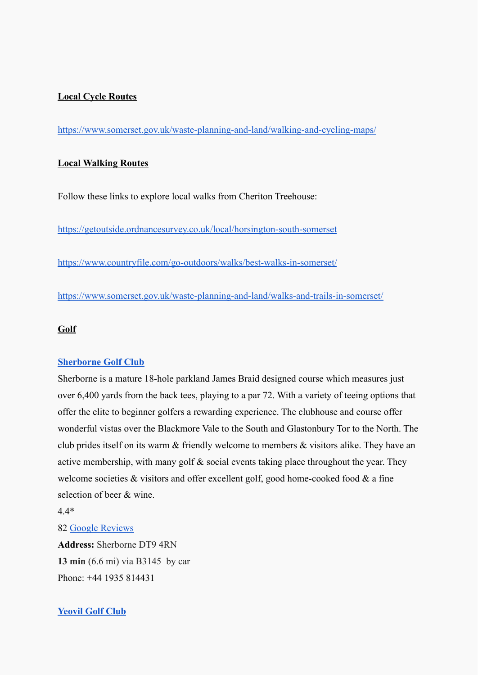## **Local Cycle Routes**

<https://www.somerset.gov.uk/waste-planning-and-land/walking-and-cycling-maps/>

### **Local Walking Routes**

Follow these links to explore local walks from Cheriton Treehouse:

<https://getoutside.ordnancesurvey.co.uk/local/horsington-south-somerset>

<https://www.countryfile.com/go-outdoors/walks/best-walks-in-somerset/>

<https://www.somerset.gov.uk/waste-planning-and-land/walks-and-trails-in-somerset/>

## **Golf**

#### **[Sherborne Golf Club](https://www.sherbornegolfclub.co.uk/)**

Sherborne is a mature 18-hole parkland James Braid designed course which measures just over 6,400 yards from the back tees, playing to a par 72. With a variety of teeing options that offer the elite to beginner golfers a rewarding experience. The clubhouse and course offer wonderful vistas over the Blackmore Vale to the South and Glastonbury Tor to the North. The club prides itself on its warm & friendly welcome to members & visitors alike. They have an active membership, with many golf & social events taking place throughout the year. They welcome societies  $\&$  visitors and offer excellent golf, good home-cooked food  $\&$  a fine selection of beer & wine.

4.4\*

#### 82 [Google Reviews](https://www.google.com/search?q=Golf%20courses%20near%20templecombe%20in%20Somerset&oq=Golf+couress+near+templecombe+in+Somerset&aqs=chrome..69i57j0i22i30.7597j0j7&sourceid=chrome&ie=UTF-8&tbs=lrf:!1m4!1u3!2m2!3m1!1e1!1m4!1u2!2m2!2m1!1e1!2m1!1e2!2m1!1e3!3sIAE,lf:1,lf_ui:1&tbm=lcl&sxsrf=ALeKk03h-I1tioYezo_JYWmWWXSML2qItA:1629097832418&rflfq=1&num=10&rldimm=10553059484763573141&lqi=CilHb2xmIGNvdXJzZXMgbmVhciB0ZW1wbGVjb21iZSBpbiBTb21lcnNldEi3tJPe85WAgAhaPRAAEAEYABgBGAMiKWdvbGYgY291cnNlcyBuZWFyIHRlbXBsZWNvbWJlIGluIHNvbWVyc2V0KgYIAxAAEAGSAQtnb2xmX2NvdXJzZaoBFBABKhAiDGdvbGYgY291cnNlcygA&phdesc=dCccmeDRWXw&ved=2ahUKEwiQxeus_rTyAhURhP0HHcg6A-YQvS4wBXoECAoQKg&rlst=f#lrd=0x4872476baa52d677:0x20b8c8afc83cc19f,1,,,&rlfi=hd:;si:2357855062232711583,l,CilHb2xmIGNvdXJzZXMgbmVhciB0ZW1wbGVjb21iZSBpbiBTb21lcnNldEiv_fLi5YCAgAhaPRAAEAEYABgBGAMiKWdvbGYgY291cnNlcyBuZWFyIHRlbXBsZWNvbWJlIGluIHNvbWVyc2V0KgYIAxAAEAGSAQlnb2xmX2NsdWKqARQQASoQIgxnb2xmIGNvdXJzZXMoAA,y,Wj3QVehfsxM;mv:[[51.417663399999995,-2.248666],[50.8497218,-3.5238544999999997]])

**Address:** Sherborne DT9 4RN **13 min** (6.6 mi) via B3145 by car [Phone](https://www.google.com/search?sxsrf=ALeKk02NZFLTUwuQhF-Y2Mqp57m09aXeww:1629098144775&q=sherborne+golf+club+phone&ludocid=2357855062232711583&sa=X&ved=2ahUKEwi--czB_7TyAhXeg_0HHXI5BesQ6BMwB3oECA0QAg): [+44 1935 814431](https://www.google.com/search?q=Golf%20courses%20near%20templecombe%20in%20Somerset&oq=Golf+couress+near+templecombe+in+Somerset&aqs=chrome..69i57j0i22i30.7597j0j7&sourceid=chrome&ie=UTF-8&tbs=lrf:!1m4!1u3!2m2!3m1!1e1!1m4!1u2!2m2!2m1!1e1!2m1!1e2!2m1!1e3!3sIAE,lf:1,lf_ui:1&tbm=lcl&sxsrf=ALeKk03h-I1tioYezo_JYWmWWXSML2qItA:1629097832418&rflfq=1&num=10&rldimm=10553059484763573141&lqi=CilHb2xmIGNvdXJzZXMgbmVhciB0ZW1wbGVjb21iZSBpbiBTb21lcnNldEi3tJPe85WAgAhaPRAAEAEYABgBGAMiKWdvbGYgY291cnNlcyBuZWFyIHRlbXBsZWNvbWJlIGluIHNvbWVyc2V0KgYIAxAAEAGSAQtnb2xmX2NvdXJzZaoBFBABKhAiDGdvbGYgY291cnNlcygA&phdesc=dCccmeDRWXw&ved=2ahUKEwiQxeus_rTyAhURhP0HHcg6A-YQvS4wBXoECAoQKg&rlst=f#)

## **[Yeovil Golf Club](https://www.yeovilgolfclub.com/)**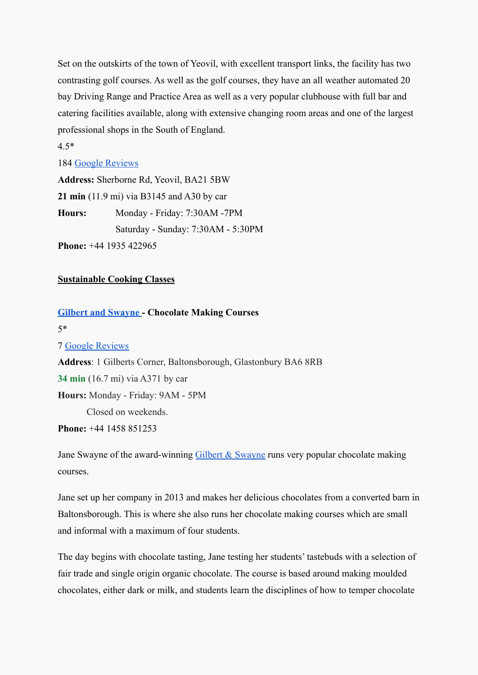Set on the outskirts of the town of Yeovil, with excellent transport links, the facility has two contrasting golf courses. As well as the golf courses, they have an all weather automated 20 bay Driving Range and Practice Area as well as a very popular clubhouse with full bar and catering facilities available, along with extensive changing room areas and one of the largest professional shops in the South of England.

#### 4.5\*

#### 184 [Google Reviews](https://www.google.com/search?q=Golf%20courses%20near%20templecombe%20in%20Somerset&oq=Golf+couress+near+templecombe+in+Somerset&aqs=chrome..69i57j0i22i30.7597j0j7&sourceid=chrome&ie=UTF-8&tbs=lf:1,lf_ui:1&tbm=lcl&sxsrf=ALeKk03h-I1tioYezo_JYWmWWXSML2qItA:1629097832418&rflfq=1&num=10&rldimm=10553059484763573141&lqi=CilHb2xmIGNvdXJzZXMgbmVhciB0ZW1wbGVjb21iZSBpbiBTb21lcnNldEi3tJPe85WAgAhaPRAAEAEYABgBGAMiKWdvbGYgY291cnNlcyBuZWFyIHRlbXBsZWNvbWJlIGluIHNvbWVyc2V0KgYIAxAAEAGSAQtnb2xmX2NvdXJzZaoBFBABKhAiDGdvbGYgY291cnNlcygA&phdesc=dCccmeDRWXw&ved=2ahUKEwiQxeus_rTyAhURhP0HHcg6A-YQvS4wBXoECAoQKg&rlst=f#lrd=0x487241ad03f62ffb:0x9273ffb05ae64b95,1,,,&rlfi=hd:;si:10553059484763573141,l,CilHb2xmIGNvdXJzZXMgbmVhciB0ZW1wbGVjb21iZSBpbiBTb21lcnNldEi3tJPe85WAgAhaPRAAEAEYABgBGAMiKWdvbGYgY291cnNlcyBuZWFyIHRlbXBsZWNvbWJlIGluIHNvbWVyc2V0KgYIAxAAEAGSAQtnb2xmX2NvdXJzZaoBFBABKhAiDGdvbGYgY291cnNlcygA,y,dCccmeDRWXw;mv:[[51.417663399999995,-2.248666],[50.8497218,-3.5238544999999997]];tbs:lrf:!1m4!1u3!2m2!3m1!1e1!1m4!1u2!2m2!2m1!1e1!2m1!1e2!2m1!1e3!3sIAE,lf:1,lf_ui:1)

**Address:** Sherborne Rd, Yeovil, BA21 5BW **21 min** (11.9 mi) via B3145 and A30 by car **Hours:** Monday - Friday: 7:30AM -7PM Saturday - Sunday: 7:30AM - 5:30PM

**Phone:** +44 1935 422965

## **Sustainable Cooking Classes**

## **[Gilbert and Swayne](http://www.gilbertandswayne.co.uk/) - Chocolate Making Courses**

5\*

## 7 [Google Reviews](https://www.google.com/search?q=Gilbert+%26+Swayne&oq=Gilbert+%26+Swayne+&aqs=chrome..69i57.855j0j7&sourceid=chrome&ie=UTF-8#lrd=0x48723d7b648ec001:0xc059b240d28ecf94,1,,,)

**[Address](https://www.google.com/search?sxsrf=ALeKk0279uSkCSUYNJ3OdSX2dVe2znn3TA:1629098623687&q=gilbert+and+swayne+address&ludocid=13860305319689637780&sa=X&ved=2ahUKEwiI2JKmgbXyAhVbgP0HHYXYC7oQ6BMwHnoECCkQAg)**: 1 Gilberts Corner, Baltonsborough, Glastonbury BA6 8RB **34 min** (16.7 mi) via A371 by car **Hours:** Monday - Friday: 9AM - 5PM Closed on weekends. **[Phone](https://www.google.com/search?sxsrf=ALeKk0279uSkCSUYNJ3OdSX2dVe2znn3TA:1629098623687&q=gilbert+and+swayne+phone&ludocid=13860305319689637780&sa=X&ved=2ahUKEwiI2JKmgbXyAhVbgP0HHYXYC7oQ6BMwIXoECDMQAg):** [+44 1458 851253](https://www.google.com/search?q=Gilbert+%26+Swayne&oq=Gilbert+%26+Swayne+&aqs=chrome..69i57.855j0j7&sourceid=chrome&ie=UTF-8#)

Jane Swayne of the award-winning [Gilbert & Swayne](http://www.gilbertandswayne.co.uk/) runs very popular chocolate making courses.

Jane set up her company in 2013 and makes her delicious chocolates from a converted barn in Baltonsborough. This is where she also runs her chocolate making courses which are small and informal with a maximum of four students.

The day begins with chocolate tasting, Jane testing her students' tastebuds with a selection of fair trade and single origin organic chocolate. The course is based around making moulded chocolates, either dark or milk, and students learn the disciplines of how to temper chocolate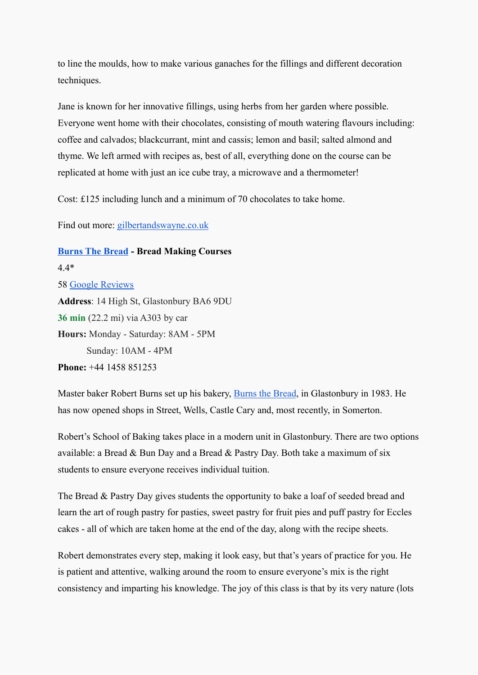to line the moulds, how to make various ganaches for the fillings and different decoration techniques.

Jane is known for her innovative fillings, using herbs from her garden where possible. Everyone went home with their chocolates, consisting of mouth watering flavours including: coffee and calvados; blackcurrant, mint and cassis; lemon and basil; salted almond and thyme. We left armed with recipes as, best of all, everything done on the course can be replicated at home with just an ice cube tray, a microwave and a thermometer!

Cost: £125 including lunch and a minimum of 70 chocolates to take home.

Find out more: [gilbertandswayne.co.uk](http://www.gilbertandswayne.co.uk/)

**[Burns The Bread](http://www.burnsthebread.co.uk/) - Bread Making Courses** 4.4\* 58 [Google Reviews](https://www.google.com/search?q=Burns%20the%20Bread&oq=Burns+the+Bread+&aqs=chrome..69i57.623j0j9&sourceid=chrome&ie=UTF-8&tbs=lf:1,lf_ui:4&tbm=lcl&sxsrf=ALeKk03qEmrz_5gMWJOiB98Dk548Ug-67w:1629098887591&rflfq=1&num=10&rldimm=16234636200862551875&lqi=Cg9CdXJucyB0aGUgQnJlYWQiA4gBAUiwyPGE5oCAgAhaJxAAEAEQAhgAGAEYAiIPYnVybnMgdGhlIGJyZWFkKggIAhAAEAEQApIBBmJha2VyeaoBFxABKhMiD2J1cm5zIHRoZSBicmVhZCgA&ved=2ahUKEwj7mP6jgrXyAhUIhv0HHZEBDBUQvS4wAXoECAsQGA&rlst=f#lrd=0x48723bcaba802661:0xe14d039c221c0f43,1,,,&rlfi=hd:;si:16234636200862551875,l,Cg9CdXJucyB0aGUgQnJlYWQiA4gBAUiwyPGE5oCAgAhaJxAAEAEQAhgAGAEYAiIPYnVybnMgdGhlIGJyZWFkKggIAhAAEAEQApIBBmJha2VyeaoBFxABKhMiD2J1cm5zIHRoZSBicmVhZCgA;mv:[[51.2169214,-2.5006931],[51.0446086,-2.7532662]];tbs:lrf:!1m4!1u3!2m2!3m1!1e1!2m1!1e3!3sIAE,lf:1,lf_ui:4) **[Address](https://www.google.com/search?sxsrf=ALeKk0279uSkCSUYNJ3OdSX2dVe2znn3TA:1629098623687&q=gilbert+and+swayne+address&ludocid=13860305319689637780&sa=X&ved=2ahUKEwiI2JKmgbXyAhVbgP0HHYXYC7oQ6BMwHnoECCkQAg)**: 14 High St, Glastonbury BA6 9DU **36 min** (22.2 mi) via A303 by car **Hours:** Monday - Saturday: 8AM - 5PM Sunday: 10AM - 4PM **[Phone](https://www.google.com/search?sxsrf=ALeKk0279uSkCSUYNJ3OdSX2dVe2znn3TA:1629098623687&q=gilbert+and+swayne+phone&ludocid=13860305319689637780&sa=X&ved=2ahUKEwiI2JKmgbXyAhVbgP0HHYXYC7oQ6BMwIXoECDMQAg):** [+44 1458 851253](https://www.google.com/search?q=Gilbert+%26+Swayne&oq=Gilbert+%26+Swayne+&aqs=chrome..69i57.855j0j7&sourceid=chrome&ie=UTF-8#)

Master baker Robert Burns set up his bakery, Burns [the Bread](http://www.burnsthebread.co.uk/), in Glastonbury in 1983. He has now opened shops in Street, Wells, Castle Cary and, most recently, in Somerton.

Robert's School of Baking takes place in a modern unit in Glastonbury. There are two options available: a Bread & Bun Day and a Bread & Pastry Day. Both take a maximum of six students to ensure everyone receives individual tuition.

The Bread & Pastry Day gives students the opportunity to bake a loaf of seeded bread and learn the art of rough pastry for pasties, sweet pastry for fruit pies and puff pastry for Eccles cakes - all of which are taken home at the end of the day, along with the recipe sheets.

Robert demonstrates every step, making it look easy, but that's years of practice for you. He is patient and attentive, walking around the room to ensure everyone's mix is the right consistency and imparting his knowledge. The joy of this class is that by its very nature (lots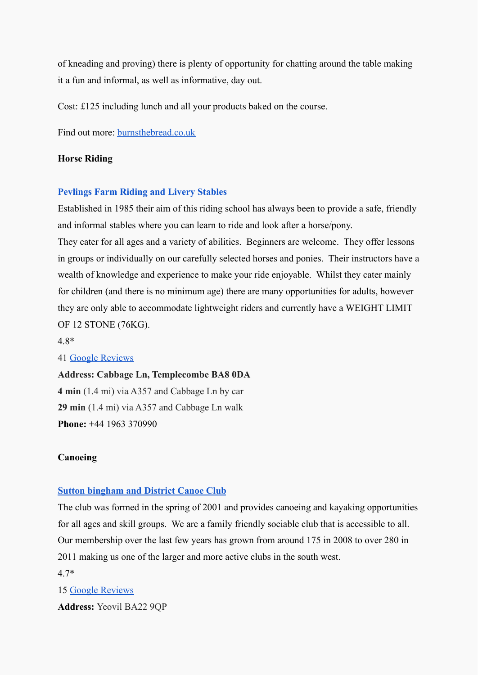of kneading and proving) there is plenty of opportunity for chatting around the table making it a fun and informal, as well as informative, day out.

Cost: £125 including lunch and all your products baked on the course.

Find out more: [burnsthebread.co.uk](http://www.burnsthebread.co.uk/)

## **Horse Riding**

## **[Pevlings Farm Riding and Livery Stables](https://www.pevlingsfarm.co.uk/)**

Established in 1985 their aim of this riding school has always been to provide a safe, friendly and informal stables where you can learn to ride and look after a horse/pony.

They cater for all ages and a variety of abilities. Beginners are welcome. They offer lessons in groups or individually on our carefully selected horses and ponies. Their instructors have a wealth of knowledge and experience to make your ride enjoyable. Whilst they cater mainly for children (and there is no minimum age) there are many opportunities for adults, however they are only able to accommodate lightweight riders and currently have a WEIGHT LIMIT OF 12 STONE (76KG).

4.8\*

## 41 [Google Reviews](https://www.google.com/search?q=Horse%20Riding%20schools%20near%20horsington&oq=Horse+Riding+schools+near+horsington&aqs=chrome..69i57j33i22i29i30.4726j0j9&sourceid=chrome&ie=UTF-8&tbs=lf:1,lf_ui:14&tbm=lcl&sxsrf=ALeKk00eNUuCb3mLEvEGiwgZad5QgMB7zQ:1629099247998&rflfq=1&num=10&rldimm=7565363548158835696&lqi=CiRIb3JzZSBSaWRpbmcgc2Nob29scyBuZWFyIGhvcnNpbmd0b25I6PTLyOiAgIAIWj4QABABEAIYABgBGAIYBCIkaG9yc2UgcmlkaW5nIHNjaG9vbHMgbmVhciBob3JzaW5ndG9uKggIAxAAEAEQApIBE2hvcnNlX3JpZGluZ19zY2hvb2yqARwQASoYIhRob3JzZSByaWRpbmcgc2Nob29scygA&ved=2ahUKEwic8uvPg7XyAhV1gf0HHfVnC1UQvS4wBHoECAoQKw&rlst=f#lrd=0x4872378fe7ba32d9:0x68fd921064b23bf0,1,,,&rlfi=hd:;si:7565363548158835696,l,CiRIb3JzZSBSaWRpbmcgc2Nob29scyBuZWFyIGhvcnNpbmd0b25I6PTLyOiAgIAIWj4QABABEAIYABgBGAIYBCIkaG9yc2UgcmlkaW5nIHNjaG9vbHMgbmVhciBob3JzaW5ndG9uKggIAxAAEAEQApIBE2hvcnNlX3JpZGluZ19zY2hvb2yqARwQASoYIhRob3JzZSByaWRpbmcgc2Nob29scygA;mv:[[51.3056889,-1.9223866],[50.7818854,-3.1190895999999997]];tbs:lrf:!1m4!1u3!2m2!3m1!1e1!1m4!1u2!2m2!2m1!1e1!2m1!1e2!2m1!1e3!3sIAE,lf:1,lf_ui:14)

**Address: Cabbage Ln, Templecombe BA8 0DA 4 min** (1.4 mi) via A357 and Cabbage Ln by car **29 min** (1.4 mi) via A357 and Cabbage Ln walk **[Phone](https://www.google.com/search?sxsrf=ALeKk03ffgATk0tTBiJ2gvLMNxV9gubNCw:1629099265996&q=pevlings+phone&ludocid=7565363548158835696&sa=X&ved=2ahUKEwj82aLYg7XyAhX0hf0HHWX7AjQQ6BMwCHoECA0QAg):** [+44 1963 370990](https://www.google.com/search?q=Horse%20Riding%20schools%20near%20horsington&oq=Horse+Riding+schools+near+horsington&aqs=chrome..69i57j33i22i29i30.4726j0j9&sourceid=chrome&ie=UTF-8&tbs=lf:1,lf_ui:14&tbm=lcl&sxsrf=ALeKk00eNUuCb3mLEvEGiwgZad5QgMB7zQ:1629099247998&rflfq=1&num=10&rldimm=7565363548158835696&lqi=CiRIb3JzZSBSaWRpbmcgc2Nob29scyBuZWFyIGhvcnNpbmd0b25I6PTLyOiAgIAIWj4QABABEAIYABgBGAIYBCIkaG9yc2UgcmlkaW5nIHNjaG9vbHMgbmVhciBob3JzaW5ndG9uKggIAxAAEAEQApIBE2hvcnNlX3JpZGluZ19zY2hvb2yqARwQASoYIhRob3JzZSByaWRpbmcgc2Nob29scygA&ved=2ahUKEwic8uvPg7XyAhV1gf0HHfVnC1UQvS4wBHoECAoQKw&rlst=f#)

## **Canoeing**

## **[Sutton bingham and District Canoe Club](https://suttonbingham.wixsite.com/canoeclub)**

The club was formed in the spring of 2001 and provides canoeing and kayaking opportunities for all ages and skill groups. We are a family friendly sociable club that is accessible to all. Our membership over the last few years has grown from around 175 in 2008 to over 280 in 2011 making us one of the larger and more active clubs in the south west.

## 4.7\*

15 [Google Reviews](https://www.google.com/search?sa=X&tbs=lf:1,lf_ui:2&tbm=lcl&sxsrf=ALeKk03uJScgGCFUZ0vOBWGP8IkgyMdvOg:1629099638342&q=kayaking+in+somerset&rflfq=1&num=10&ved=2ahUKEwigpvyJhbXyAhXJgP0HHb5XCAkQjGp6BAgZEF4&biw=797&bih=912#lrd=0x487269fe9dabf327:0x38669bcd97bccf2b,1,,,&rlfi=hd:;si:4064107021064785707;mv:[[51.4818162,-2.2171841],[50.8606981,-4.140916799999999]])

**Address:** Yeovil BA22 9QP